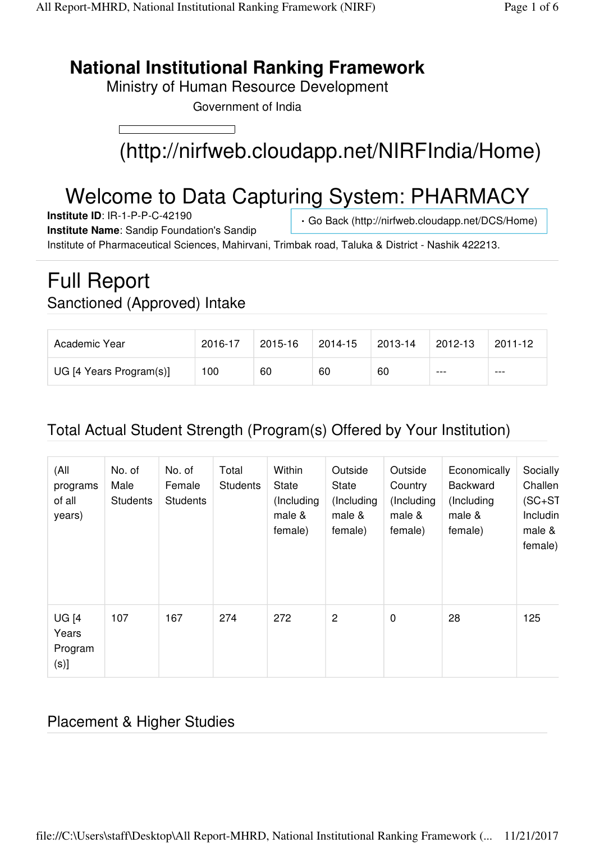## **National Institutional Ranking Framework**

Ministry of Human Resource Development

Government of India



# Welcome to Data Capturing System: PHARMACY

**Institute ID**: IR-1-P-P-C-42190

Go Back (http://nirfweb.cloudapp.net/DCS/Home)

**Institute Name**: Sandip Foundation's Sandip Institute of Pharmaceutical Sciences, Mahirvani, Trimbak road, Taluka & District - Nashik 422213.

# Full Report Sanctioned (Approved) Intake

| Academic Year           | 2016-17 | 2015-16 | 2014-15 | 2013-14 | 2012-13 | $2011 - 12$ |
|-------------------------|---------|---------|---------|---------|---------|-------------|
| UG [4 Years Program(s)] | 100     | 60      | 60      | 60      | $--$    | ---         |

#### Total Actual Student Strength (Program(s) Offered by Your Institution)

| (All<br>programs<br>of all<br>years)     | No. of<br>Male<br><b>Students</b> | No. of<br>Female<br><b>Students</b> | Total<br><b>Students</b> | Within<br>State<br>(Including<br>male &<br>female) | Outside<br>State<br>(Including<br>male &<br>female) | Outside<br>Country<br>(Including<br>male &<br>female) | Economically<br>Backward<br>(Including<br>male &<br>female) | Socially<br>Challen<br>$(SC+ST)$<br>Includin<br>male &<br>female) |
|------------------------------------------|-----------------------------------|-------------------------------------|--------------------------|----------------------------------------------------|-----------------------------------------------------|-------------------------------------------------------|-------------------------------------------------------------|-------------------------------------------------------------------|
| <b>UG [4</b><br>Years<br>Program<br>(s)] | 107                               | 167                                 | 274                      | 272                                                | 2                                                   | $\mathbf 0$                                           | 28                                                          | 125                                                               |

#### Placement & Higher Studies

file://C:\Users\staff\Desktop\All Report-MHRD, National Institutional Ranking Framework (... 11/21/2017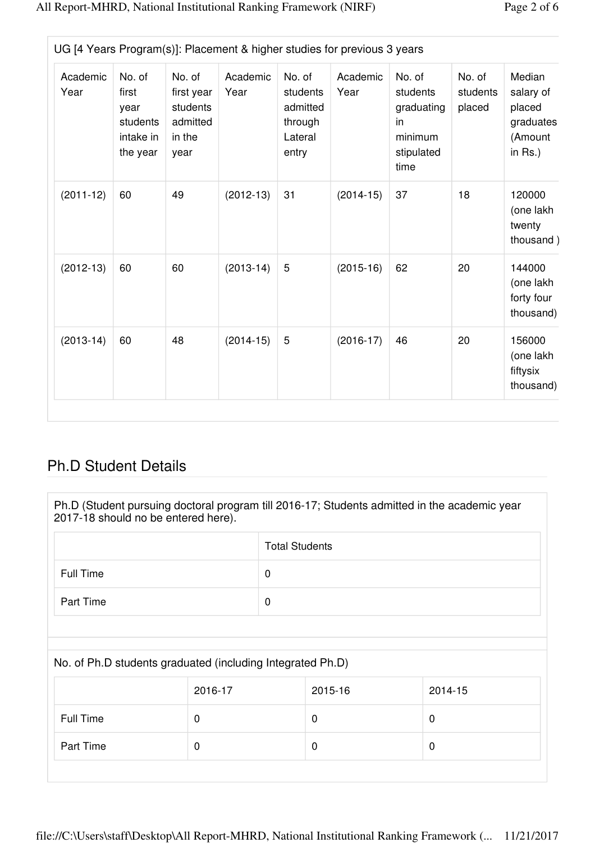| Page 2 of 6 |  |  |  |
|-------------|--|--|--|
|-------------|--|--|--|

| Academic<br>Year | No. of<br>first<br>year<br>students<br>intake in<br>the year | No. of<br>first year<br>students<br>admitted<br>in the<br>year | Academic<br>Year | No. of<br>students<br>admitted<br>through<br>Lateral<br>entry | Academic<br>Year | No. of<br>students<br>graduating<br>in<br>minimum<br>stipulated<br>time | No. of<br>students<br>placed | Median<br>salary of<br>placed<br>graduates<br>(Amount<br>in $Rs.$ ) |
|------------------|--------------------------------------------------------------|----------------------------------------------------------------|------------------|---------------------------------------------------------------|------------------|-------------------------------------------------------------------------|------------------------------|---------------------------------------------------------------------|
| $(2011-12)$      | 60                                                           | 49                                                             | $(2012-13)$      | 31                                                            | $(2014-15)$      | 37                                                                      | 18                           | 120000<br>(one lakh<br>twenty<br>thousand)                          |
| $(2012-13)$      | 60                                                           | 60                                                             | $(2013-14)$      | 5                                                             | $(2015-16)$      | 62                                                                      | 20                           | 144000<br>(one lakh<br>forty four<br>thousand)                      |
| $(2013-14)$      | 60                                                           | 48                                                             | $(2014-15)$      | 5                                                             | $(2016-17)$      | 46                                                                      | 20                           | 156000<br>(one lakh<br>fiftysix<br>thousand)                        |

#### Ph.D Student Details

Ph.D (Student pursuing doctoral program till 2016-17; Students admitted in the academic year 2017-18 should no be entered here).

|           | <b>Total Students</b> |
|-----------|-----------------------|
| Full Time | 0                     |
| Part Time | 0                     |

#### No. of Ph.D students graduated (including Integrated Ph.D)

|           | 2016-17 | 2015-16 | 2014-15 |
|-----------|---------|---------|---------|
| Full Time | 0       | U       | 0       |
| Part Time | 0       |         | 0       |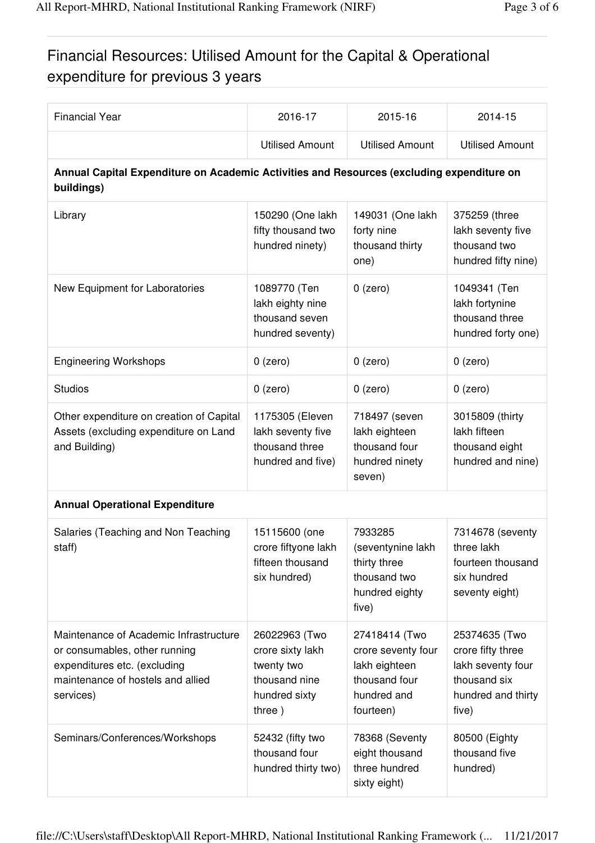### Financial Resources: Utilised Amount for the Capital & Operational expenditure for previous 3 years

| <b>Financial Year</b>                                                                                                                                     | 2016-17                                                                                     | 2015-16                                                                                           | 2014-15                                                                                                |
|-----------------------------------------------------------------------------------------------------------------------------------------------------------|---------------------------------------------------------------------------------------------|---------------------------------------------------------------------------------------------------|--------------------------------------------------------------------------------------------------------|
|                                                                                                                                                           | <b>Utilised Amount</b>                                                                      | <b>Utilised Amount</b>                                                                            | <b>Utilised Amount</b>                                                                                 |
| Annual Capital Expenditure on Academic Activities and Resources (excluding expenditure on<br>buildings)                                                   |                                                                                             |                                                                                                   |                                                                                                        |
| Library                                                                                                                                                   | 150290 (One lakh<br>fifty thousand two<br>hundred ninety)                                   | 149031 (One lakh<br>forty nine<br>thousand thirty<br>one)                                         | 375259 (three<br>lakh seventy five<br>thousand two<br>hundred fifty nine)                              |
| New Equipment for Laboratories                                                                                                                            | 1089770 (Ten<br>lakh eighty nine<br>thousand seven<br>hundred seventy)                      | $0$ (zero)                                                                                        | 1049341 (Ten<br>lakh fortynine<br>thousand three<br>hundred forty one)                                 |
| <b>Engineering Workshops</b>                                                                                                                              | $0$ (zero)                                                                                  | $0$ (zero)                                                                                        | $0$ (zero)                                                                                             |
| <b>Studios</b>                                                                                                                                            | $0$ (zero)                                                                                  | $0$ (zero)                                                                                        | $0$ (zero)                                                                                             |
| Other expenditure on creation of Capital<br>Assets (excluding expenditure on Land<br>and Building)                                                        | 1175305 (Eleven<br>lakh seventy five<br>thousand three<br>hundred and five)                 | 718497 (seven<br>lakh eighteen<br>thousand four<br>hundred ninety<br>seven)                       | 3015809 (thirty<br>lakh fifteen<br>thousand eight<br>hundred and nine)                                 |
| <b>Annual Operational Expenditure</b>                                                                                                                     |                                                                                             |                                                                                                   |                                                                                                        |
| Salaries (Teaching and Non Teaching<br>staff)                                                                                                             | 15115600 (one<br>crore fiftyone lakh<br>fifteen thousand<br>six hundred)                    | 7933285<br>(seventynine lakh<br>thirty three<br>thousand two<br>hundred eighty<br>five)           | 7314678 (seventy<br>three lakh<br>fourteen thousand<br>six hundred<br>seventy eight)                   |
| Maintenance of Academic Infrastructure<br>or consumables, other running<br>expenditures etc. (excluding<br>maintenance of hostels and allied<br>services) | 26022963 (Two<br>crore sixty lakh<br>twenty two<br>thousand nine<br>hundred sixty<br>three) | 27418414 (Two<br>crore seventy four<br>lakh eighteen<br>thousand four<br>hundred and<br>fourteen) | 25374635 (Two<br>crore fifty three<br>lakh seventy four<br>thousand six<br>hundred and thirty<br>five) |
| Seminars/Conferences/Workshops                                                                                                                            | 52432 (fifty two<br>thousand four<br>hundred thirty two)                                    | 78368 (Seventy<br>eight thousand<br>three hundred<br>sixty eight)                                 | 80500 (Eighty<br>thousand five<br>hundred)                                                             |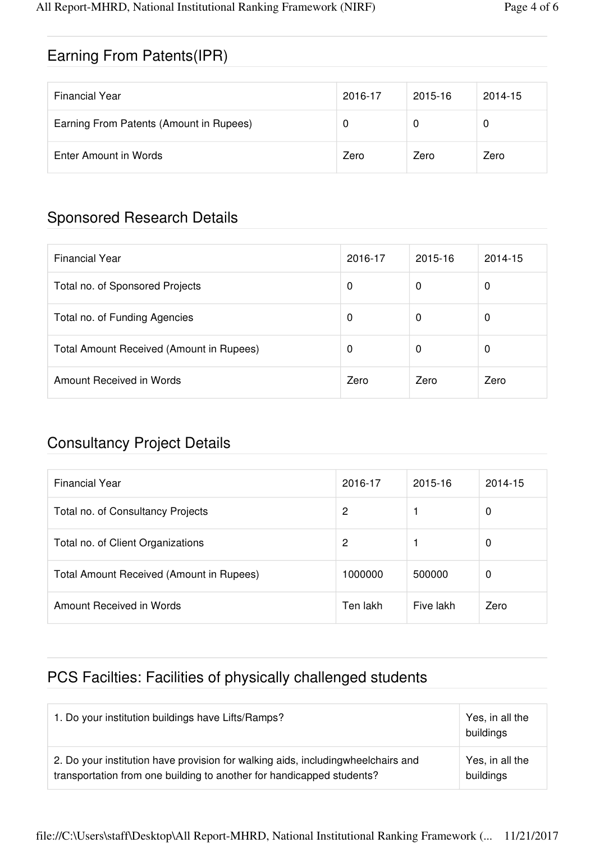#### Earning From Patents(IPR)

| <b>Financial Year</b>                   | 2016-17 | 2015-16 | 2014-15 |
|-----------------------------------------|---------|---------|---------|
| Earning From Patents (Amount in Rupees) | O       |         | 0       |
| Enter Amount in Words                   | Zero    | Zero    | Zero    |

#### Sponsored Research Details

| <b>Financial Year</b>                    | 2016-17 | 2015-16 | 2014-15 |
|------------------------------------------|---------|---------|---------|
| Total no. of Sponsored Projects          | 0       | 0       | 0       |
| Total no. of Funding Agencies            | 0       | 0       | 0       |
| Total Amount Received (Amount in Rupees) | 0       | 0       | 0       |
| Amount Received in Words                 | Zero    | Zero    | Zero    |

#### Consultancy Project Details

| <b>Financial Year</b>                    | 2016-17  | 2015-16   | 2014-15 |
|------------------------------------------|----------|-----------|---------|
| Total no. of Consultancy Projects        | 2        |           | 0       |
| Total no. of Client Organizations        | 2        |           | 0       |
| Total Amount Received (Amount in Rupees) | 1000000  | 500000    | 0       |
| Amount Received in Words                 | Ten lakh | Five lakh | Zero    |

#### PCS Facilties: Facilities of physically challenged students

| 1. Do your institution buildings have Lifts/Ramps?                                | Yes, in all the<br>buildings |
|-----------------------------------------------------------------------------------|------------------------------|
| 2. Do your institution have provision for walking aids, including wheelchairs and | Yes, in all the              |
| transportation from one building to another for handicapped students?             | buildings                    |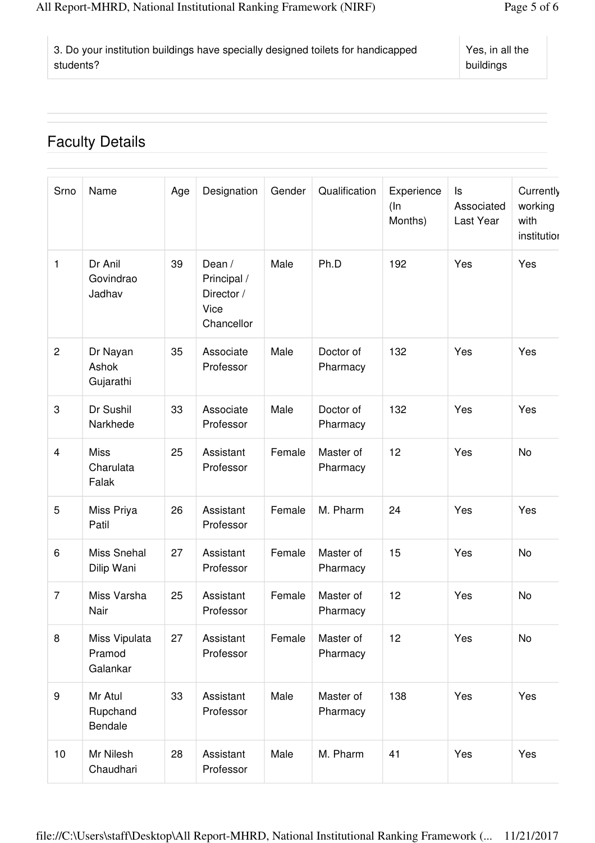| 3. Do your institution buildings have specially designed toilets for handicapped | Yes,  |
|----------------------------------------------------------------------------------|-------|
| students?                                                                        | build |

#### Faculty Details

| Srno             | Name                                | Age | Designation                                               | Gender | Qualification         | Experience<br>$($ In<br>Months) | ls<br>Associated<br>Last Year | Currently<br>working<br>with<br>institution |
|------------------|-------------------------------------|-----|-----------------------------------------------------------|--------|-----------------------|---------------------------------|-------------------------------|---------------------------------------------|
| 1                | Dr Anil<br>Govindrao<br>Jadhav      | 39  | Dean /<br>Principal /<br>Director /<br>Vice<br>Chancellor | Male   | Ph.D                  | 192                             | Yes                           | Yes                                         |
| $\overline{c}$   | Dr Nayan<br>Ashok<br>Gujarathi      | 35  | Associate<br>Professor                                    | Male   | Doctor of<br>Pharmacy | 132                             | Yes                           | Yes                                         |
| 3                | Dr Sushil<br>Narkhede               | 33  | Associate<br>Professor                                    | Male   | Doctor of<br>Pharmacy | 132                             | Yes                           | Yes                                         |
| $\overline{4}$   | <b>Miss</b><br>Charulata<br>Falak   | 25  | Assistant<br>Professor                                    | Female | Master of<br>Pharmacy | 12                              | Yes                           | No                                          |
| 5                | Miss Priya<br>Patil                 | 26  | Assistant<br>Professor                                    | Female | M. Pharm              | 24                              | Yes                           | Yes                                         |
| 6                | Miss Snehal<br>Dilip Wani           | 27  | Assistant<br>Professor                                    | Female | Master of<br>Pharmacy | 15                              | Yes                           | No                                          |
| $\overline{7}$   | Miss Varsha<br>Nair                 | 25  | Assistant<br>Professor                                    | Female | Master of<br>Pharmacy | 12                              | Yes                           | <b>No</b>                                   |
| 8                | Miss Vipulata<br>Pramod<br>Galankar | 27  | Assistant<br>Professor                                    | Female | Master of<br>Pharmacy | 12                              | Yes                           | No                                          |
| $\boldsymbol{9}$ | Mr Atul<br>Rupchand<br>Bendale      | 33  | Assistant<br>Professor                                    | Male   | Master of<br>Pharmacy | 138                             | Yes                           | Yes                                         |
| 10               | Mr Nilesh<br>Chaudhari              | 28  | Assistant<br>Professor                                    | Male   | M. Pharm              | 41                              | Yes                           | Yes                                         |